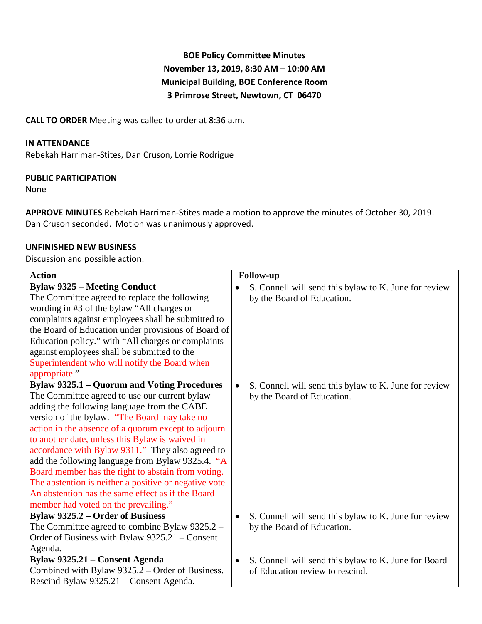# **BOE Policy Committee Minutes November 13, 2019, 8:30 AM – 10:00 AM Municipal Building, BOE Conference Room 3 Primrose Street, Newtown, CT 06470**

**CALL TO ORDER** Meeting was called to order at 8:36 a.m.

## **IN ATTENDANCE**

Rebekah Harriman-Stites, Dan Cruson, Lorrie Rodrigue

#### **PUBLIC PARTICIPATION**

None

**APPROVE MINUTES** Rebekah Harriman-Stites made a motion to approve the minutes of October 30, 2019. Dan Cruson seconded. Motion was unanimously approved.

#### **UNFINISHED NEW BUSINESS**

Discussion and possible action:

| <b>Action</b>                                          | <b>Follow-up</b>                                                   |
|--------------------------------------------------------|--------------------------------------------------------------------|
| <b>Bylaw 9325 - Meeting Conduct</b>                    | S. Connell will send this bylaw to K. June for review<br>$\bullet$ |
| The Committee agreed to replace the following          | by the Board of Education.                                         |
| wording in #3 of the bylaw "All charges or             |                                                                    |
| complaints against employees shall be submitted to     |                                                                    |
| the Board of Education under provisions of Board of    |                                                                    |
| Education policy." with "All charges or complaints     |                                                                    |
| against employees shall be submitted to the            |                                                                    |
| Superintendent who will notify the Board when          |                                                                    |
| appropriate."                                          |                                                                    |
| <b>Bylaw 9325.1 – Quorum and Voting Procedures</b>     | S. Connell will send this bylaw to K. June for review<br>$\bullet$ |
| The Committee agreed to use our current bylaw          | by the Board of Education.                                         |
| adding the following language from the CABE            |                                                                    |
| version of the bylaw. "The Board may take no           |                                                                    |
| action in the absence of a quorum except to adjourn    |                                                                    |
| to another date, unless this Bylaw is waived in        |                                                                    |
| accordance with Bylaw 9311." They also agreed to       |                                                                    |
| add the following language from Bylaw 9325.4. "A       |                                                                    |
| Board member has the right to abstain from voting.     |                                                                    |
| The abstention is neither a positive or negative vote. |                                                                    |
| An abstention has the same effect as if the Board      |                                                                    |
| member had voted on the prevailing."                   |                                                                    |
| <b>Bylaw 9325.2 – Order of Business</b>                | S. Connell will send this bylaw to K. June for review<br>$\bullet$ |
| The Committee agreed to combine Bylaw $9325.2 -$       | by the Board of Education.                                         |
| Order of Business with Bylaw 9325.21 – Consent         |                                                                    |
| Agenda.                                                |                                                                    |
| Bylaw 9325.21 - Consent Agenda                         | S. Connell will send this bylaw to K. June for Board<br>$\bullet$  |
| Combined with Bylaw 9325.2 – Order of Business.        | of Education review to rescind.                                    |
| Rescind Bylaw 9325.21 – Consent Agenda.                |                                                                    |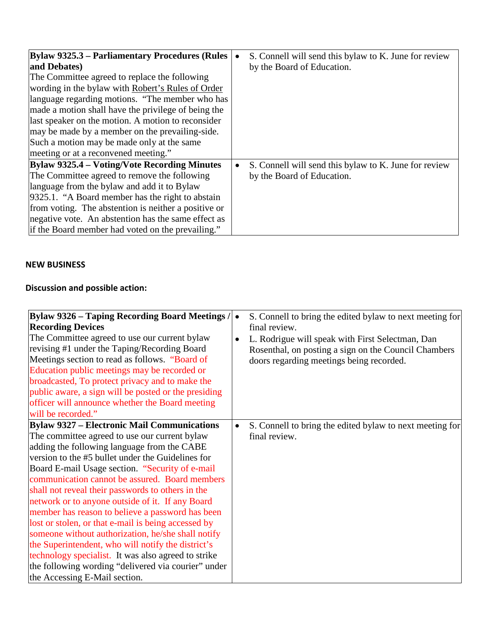| <b>Bylaw 9325.3 – Parliamentary Procedures (Rules)</b> | S. Connell will send this bylaw to K. June for review<br>$\bullet$ |
|--------------------------------------------------------|--------------------------------------------------------------------|
| and Debates)                                           | by the Board of Education.                                         |
| The Committee agreed to replace the following          |                                                                    |
| wording in the bylaw with Robert's Rules of Order      |                                                                    |
| language regarding motions. "The member who has        |                                                                    |
| made a motion shall have the privilege of being the    |                                                                    |
| last speaker on the motion. A motion to reconsider     |                                                                    |
| may be made by a member on the prevailing-side.        |                                                                    |
| Such a motion may be made only at the same             |                                                                    |
| meeting or at a reconvened meeting."                   |                                                                    |
| <b>Bylaw 9325.4 – Voting/Vote Recording Minutes</b>    | S. Connell will send this bylaw to K. June for review<br>$\bullet$ |
| The Committee agreed to remove the following           | by the Board of Education.                                         |
| language from the bylaw and add it to Bylaw            |                                                                    |
| 9325.1. "A Board member has the right to abstain       |                                                                    |
| from voting. The abstention is neither a positive or   |                                                                    |
| negative vote. An abstention has the same effect as    |                                                                    |
| if the Board member had voted on the prevailing."      |                                                                    |

# **NEW BUSINESS**

# **Discussion and possible action:**

| Bylaw 9326 – Taping Recording Board Meetings /<br><b>Recording Devices</b><br>The Committee agreed to use our current bylaw<br>revising #1 under the Taping/Recording Board<br>Meetings section to read as follows. "Board of<br>Education public meetings may be recorded or<br>broadcasted, To protect privacy and to make the<br>public aware, a sign will be posted or the presiding<br>officer will announce whether the Board meeting<br>will be recorded."                                                                                                                                                                                                                                                                                                                            | S. Connell to bring the edited bylaw to next meeting for<br>$\bullet$<br>final review.<br>L. Rodrigue will speak with First Selectman, Dan<br>Rosenthal, on posting a sign on the Council Chambers<br>doors regarding meetings being recorded. |
|----------------------------------------------------------------------------------------------------------------------------------------------------------------------------------------------------------------------------------------------------------------------------------------------------------------------------------------------------------------------------------------------------------------------------------------------------------------------------------------------------------------------------------------------------------------------------------------------------------------------------------------------------------------------------------------------------------------------------------------------------------------------------------------------|------------------------------------------------------------------------------------------------------------------------------------------------------------------------------------------------------------------------------------------------|
| <b>Bylaw 9327 - Electronic Mail Communications</b><br>The committee agreed to use our current bylaw<br>adding the following language from the CABE<br>version to the #5 bullet under the Guidelines for<br>Board E-mail Usage section. "Security of e-mail"<br>communication cannot be assured. Board members<br>shall not reveal their passwords to others in the<br>network or to anyone outside of it. If any Board<br>member has reason to believe a password has been<br>lost or stolen, or that e-mail is being accessed by<br>someone without authorization, he/she shall notify<br>the Superintendent, who will notify the district's<br>technology specialist. It was also agreed to strike<br>the following wording "delivered via courier" under<br>the Accessing E-Mail section. | S. Connell to bring the edited bylaw to next meeting for<br>final review.                                                                                                                                                                      |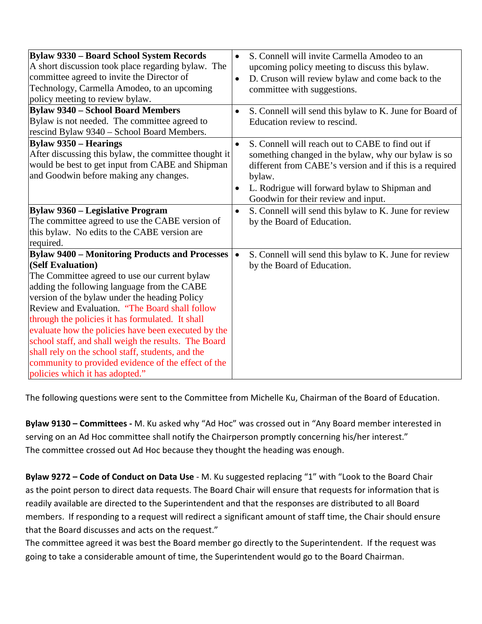| Bylaw 9330 - Board School System Records<br>A short discussion took place regarding bylaw. The<br>committee agreed to invite the Director of<br>Technology, Carmella Amodeo, to an upcoming<br>policy meeting to review bylaw.<br><b>Bylaw 9340 - School Board Members</b><br>Bylaw is not needed. The committee agreed to                                                                                                                                                                                                                                                                      | S. Connell will invite Carmella Amodeo to an<br>upcoming policy meeting to discuss this bylaw.<br>D. Cruson will review bylaw and come back to the<br>$\bullet$<br>committee with suggestions.<br>S. Connell will send this bylaw to K. June for Board of<br>Education review to rescind.      |
|-------------------------------------------------------------------------------------------------------------------------------------------------------------------------------------------------------------------------------------------------------------------------------------------------------------------------------------------------------------------------------------------------------------------------------------------------------------------------------------------------------------------------------------------------------------------------------------------------|------------------------------------------------------------------------------------------------------------------------------------------------------------------------------------------------------------------------------------------------------------------------------------------------|
| rescind Bylaw 9340 - School Board Members.<br><b>Bylaw 9350 – Hearings</b><br>After discussing this bylaw, the committee thought it<br>would be best to get input from CABE and Shipman<br>and Goodwin before making any changes.                                                                                                                                                                                                                                                                                                                                                               | S. Connell will reach out to CABE to find out if<br>$\bullet$<br>something changed in the bylaw, why our bylaw is so<br>different from CABE's version and if this is a required<br>bylaw.<br>L. Rodrigue will forward bylaw to Shipman and<br>$\bullet$<br>Goodwin for their review and input. |
| <b>Bylaw 9360 – Legislative Program</b><br>The committee agreed to use the CABE version of<br>this bylaw. No edits to the CABE version are<br>required.                                                                                                                                                                                                                                                                                                                                                                                                                                         | S. Connell will send this bylaw to K. June for review<br>$\bullet$<br>by the Board of Education.                                                                                                                                                                                               |
| <b>Bylaw 9400 - Monitoring Products and Processes</b><br>(Self Evaluation)<br>The Committee agreed to use our current bylaw<br>adding the following language from the CABE<br>version of the bylaw under the heading Policy<br>Review and Evaluation. "The Board shall follow<br>through the policies it has formulated. It shall<br>evaluate how the policies have been executed by the<br>school staff, and shall weigh the results. The Board<br>shall rely on the school staff, students, and the<br>community to provided evidence of the effect of the<br>policies which it has adopted." | S. Connell will send this bylaw to K. June for review<br>$\bullet$<br>by the Board of Education.                                                                                                                                                                                               |

The following questions were sent to the Committee from Michelle Ku, Chairman of the Board of Education.

**Bylaw 9130 – Committees -** M. Ku asked why "Ad Hoc" was crossed out in "Any Board member interested in serving on an Ad Hoc committee shall notify the Chairperson promptly concerning his/her interest." The committee crossed out Ad Hoc because they thought the heading was enough.

**Bylaw 9272 – Code of Conduct on Data Use** - M. Ku suggested replacing "1" with "Look to the Board Chair as the point person to direct data requests. The Board Chair will ensure that requests for information that is readily available are directed to the Superintendent and that the responses are distributed to all Board members. If responding to a request will redirect a significant amount of staff time, the Chair should ensure that the Board discusses and acts on the request."

The committee agreed it was best the Board member go directly to the Superintendent. If the request was going to take a considerable amount of time, the Superintendent would go to the Board Chairman.